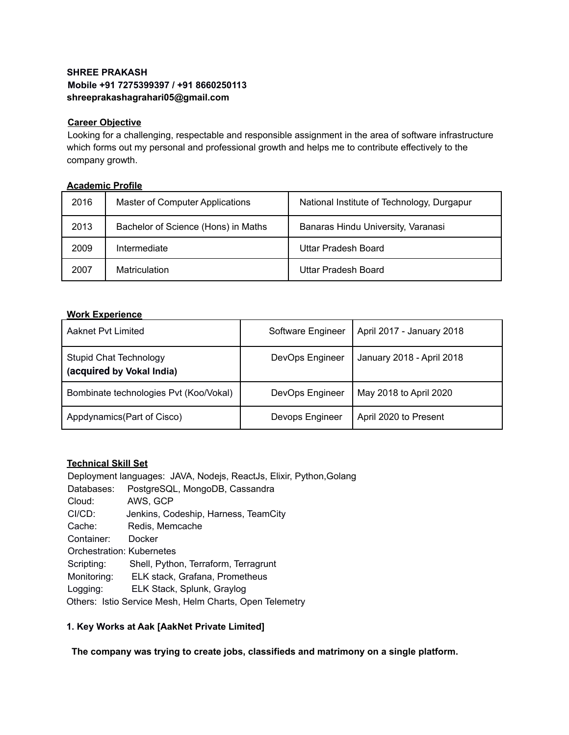# **SHREE PRAKASH Mobile +91 7275399397 / +91 8660250113 shreeprakashagrahari05@gmail.com**

## **Career Objective**

Looking for a challenging, respectable and responsible assignment in the area of software infrastructure which forms out my personal and professional growth and helps me to contribute effectively to the company growth.

## **Academic Profile**

| 2016 | <b>Master of Computer Applications</b> | National Institute of Technology, Durgapur |
|------|----------------------------------------|--------------------------------------------|
| 2013 | Bachelor of Science (Hons) in Maths    | Banaras Hindu University, Varanasi         |
| 2009 | Intermediate                           | Uttar Pradesh Board                        |
| 2007 | Matriculation                          | Uttar Pradesh Board                        |

## **Work Experience**

| Aaknet Pvt Limited                                         | Software Engineer | April 2017 - January 2018 |
|------------------------------------------------------------|-------------------|---------------------------|
| <b>Stupid Chat Technology</b><br>(acquired by Vokal India) | DevOps Engineer   | January 2018 - April 2018 |
| Bombinate technologies Pvt (Koo/Vokal)                     | DevOps Engineer   | May 2018 to April 2020    |
| Appdynamics (Part of Cisco)                                | Devops Engineer   | April 2020 to Present     |

## **Technical Skill Set**

Deployment languages: JAVA, Nodejs, ReactJs, Elixir, Python,Golang Databases: PostgreSQL, MongoDB, Cassandra Cloud: AWS, GCP CI/CD: Jenkins, Codeship, Harness, TeamCity Cache: Redis, Memcache Container: Docker Orchestration: Kubernetes Scripting: Shell, Python, Terraform, Terragrunt Monitoring: ELK stack, Grafana, Prometheus Logging: ELK Stack, Splunk, Graylog Others: Istio Service Mesh, Helm Charts, Open Telemetry

# **1. Key Works at Aak [AakNet Private Limited]**

**The company was trying to create jobs, classifieds and matrimony on a single platform.**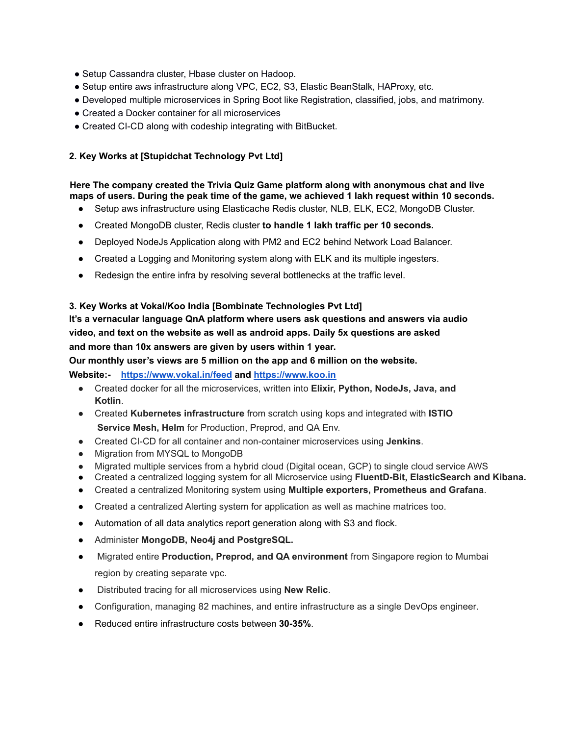- Setup Cassandra cluster, Hbase cluster on Hadoop.
- Setup entire aws infrastructure along VPC, EC2, S3, Elastic BeanStalk, HAProxy, etc.
- Developed multiple microservices in Spring Boot like Registration, classified, jobs, and matrimony.
- Created a Docker container for all microservices
- Created CI-CD along with codeship integrating with BitBucket.

## **2. Key Works at [Stupidchat Technology Pvt Ltd]**

#### **Here The company created the Trivia Quiz Game platform along with anonymous chat and live maps of users. During the peak time of the game, we achieved 1 lakh request within 10 seconds.**

- Setup aws infrastructure using Elasticache Redis cluster, NLB, ELK, EC2, MongoDB Cluster.
- Created MongoDB cluster, Redis cluster **to handle 1 lakh traffic per 10 seconds.**
- Deployed NodeJs Application along with PM2 and EC2 behind Network Load Balancer.
- Created a Logging and Monitoring system along with ELK and its multiple ingesters.
- Redesign the entire infra by resolving several bottlenecks at the traffic level.

## **3. Key Works at Vokal/Koo India [Bombinate Technologies Pvt Ltd]**

**It's a vernacular language QnA platform where users ask questions and answers via audio video, and text on the website as well as android apps. Daily 5x questions are asked and more than 10x answers are given by users within 1 year.**

## **Our monthly user's views are 5 million on the app and 6 million on the website.**

**Website:- https://www.vokal.in/feed and <https://www.koo.in>**

- Created docker for all the microservices, written into **Elixir, Python, NodeJs, Java, and Kotlin**.
- Created **Kubernetes infrastructure** from scratch using kops and integrated with **ISTIO Service Mesh, Helm** for Production, Preprod, and QA Env.
- Created CI-CD for all container and non-container microservices using **Jenkins**.
- Migration from MYSQL to MongoDB
- Migrated multiple services from a hybrid cloud (Digital ocean, GCP) to single cloud service AWS
- Created a centralized logging system for all Microservice using **FluentD-Bit, ElasticSearch and Kibana.**
- Created a centralized Monitoring system using **Multiple exporters, Prometheus and Grafana**.
- Created a centralized Alerting system for application as well as machine matrices too.
- Automation of all data analytics report generation along with S3 and flock.
- Administer **MongoDB, Neo4j and PostgreSQL.**
- Migrated entire **Production, Preprod, and QA environment** from Singapore region to Mumbai region by creating separate vpc.
- Distributed tracing for all microservices using **New Relic**.
- Configuration, managing 82 machines, and entire infrastructure as a single DevOps engineer.
- Reduced entire infrastructure costs between **30-35%**.